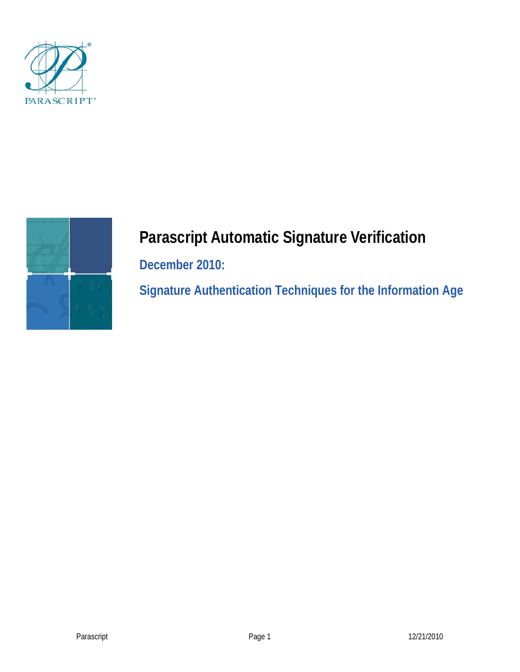



# **Parascript Automatic Signature Verification**

**December 2010:** 

**Signature Authentication Techniques for the Information Age**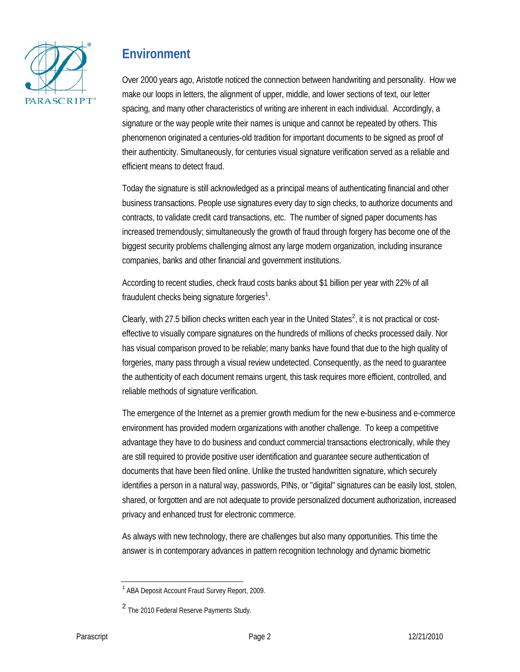

# **Environment**

Over 2000 years ago, Aristotle noticed the connection between handwriting and personality. How we make our loops in letters, the alignment of upper, middle, and lower sections of text, our letter spacing, and many other characteristics of writing are inherent in each individual. Accordingly, a signature or the way people write their names is unique and cannot be repeated by others. This phenomenon originated a centuries-old tradition for important documents to be signed as proof of their authenticity. Simultaneously, for centuries visual signature verification served as a reliable and efficient means to detect fraud.

Today the signature is still acknowledged as a principal means of authenticating financial and other business transactions. People use signatures every day to sign checks, to authorize documents and contracts, to validate credit card transactions, etc. The number of signed paper documents has increased tremendously; simultaneously the growth of fraud through forgery has become one of the biggest security problems challenging almost any large modern organization, including insurance companies, banks and other financial and government institutions.

According to recent studies, check fraud costs banks about \$1 billion per year with 22% of all fraudulent checks being signature forgeries<sup>1</sup>.

Clearly, with 27.5 billion checks written each year in the United States<sup>2</sup>, it is not practical or costeffective to visually compare signatures on the hundreds of millions of checks processed daily. Nor has visual comparison proved to be reliable; many banks have found that due to the high quality of forgeries, many pass through a visual review undetected. Consequently, as the need to guarantee the authenticity of each document remains urgent, this task requires more efficient, controlled, and reliable methods of signature verification.

The emergence of the Internet as a premier growth medium for the new e-business and e-commerce environment has provided modern organizations with another challenge. To keep a competitive advantage they have to do business and conduct commercial transactions electronically, while they are still required to provide positive user identification and guarantee secure authentication of documents that have been filed online. Unlike the trusted handwritten signature, which securely identifies a person in a natural way, passwords, PINs, or "digital" signatures can be easily lost, stolen, shared, or forgotten and are not adequate to provide personalized document authorization, increased privacy and enhanced trust for electronic commerce.

As always with new technology, there are challenges but also many opportunities. This time the answer is in contemporary advances in pattern recognition technology and dynamic biometric

<sup>&</sup>lt;sup>1</sup> ABA Deposit Account Fraud Survey Report, 2009.

<sup>2</sup>The 2010 Federal Reserve Payments Study.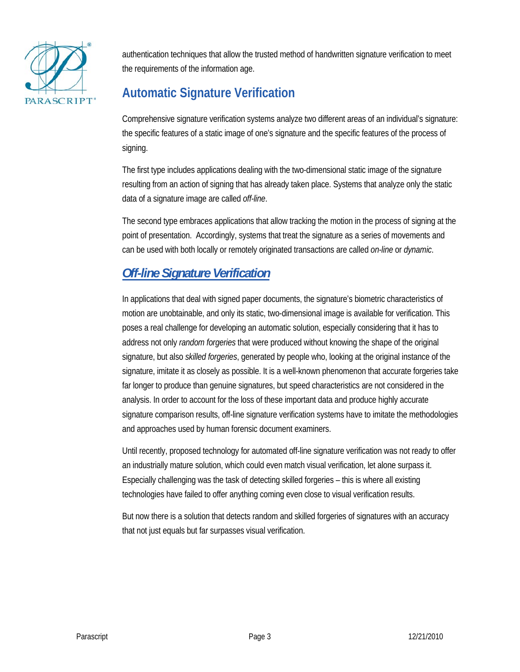

authentication techniques that allow the trusted method of handwritten signature verification to meet the requirements of the information age.

# **Automatic Signature Verification**

Comprehensive signature verification systems analyze two different areas of an individual's signature: the specific features of a static image of one's signature and the specific features of the process of signing.

The first type includes applications dealing with the two-dimensional static image of the signature resulting from an action of signing that has already taken place. Systems that analyze only the static data of a signature image are called *off-line*.

The second type embraces applications that allow tracking the motion in the process of signing at the point of presentation. Accordingly, systems that treat the signature as a series of movements and can be used with both locally or remotely originated transactions are called *on-line* or *dynamic*.

# *Off-line Signature Verification*

In applications that deal with signed paper documents, the signature's biometric characteristics of motion are unobtainable, and only its static, two-dimensional image is available for verification. This poses a real challenge for developing an automatic solution, especially considering that it has to address not only *random forgeries* that were produced without knowing the shape of the original signature, but also *skilled forgeries*, generated by people who, looking at the original instance of the signature, imitate it as closely as possible. It is a well-known phenomenon that accurate forgeries take far longer to produce than genuine signatures, but speed characteristics are not considered in the analysis. In order to account for the loss of these important data and produce highly accurate signature comparison results, off-line signature verification systems have to imitate the methodologies and approaches used by human forensic document examiners.

Until recently, proposed technology for automated off-line signature verification was not ready to offer an industrially mature solution, which could even match visual verification, let alone surpass it. Especially challenging was the task of detecting skilled forgeries – this is where all existing technologies have failed to offer anything coming even close to visual verification results.

But now there is a solution that detects random and skilled forgeries of signatures with an accuracy that not just equals but far surpasses visual verification.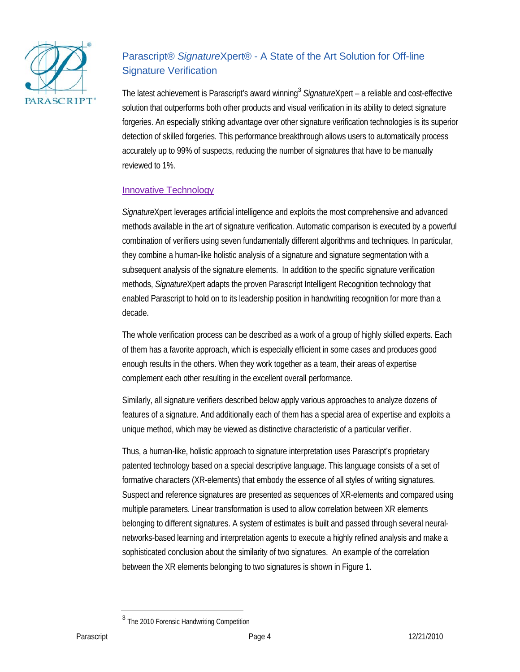

## Parascript® *Signature*Xpert® - A State of the Art Solution for Off-line Signature Verification

The latest achievement is Parascript's award winning<sup>3</sup> SignatureXpert - a reliable and cost-effective solution that outperforms both other products and visual verification in its ability to detect signature forgeries. An especially striking advantage over other signature verification technologies is its superior detection of skilled forgeries. This performance breakthrough allows users to automatically process accurately up to 99% of suspects, reducing the number of signatures that have to be manually reviewed to 1%.

#### Innovative Technology

*Signature*Xpert leverages artificial intelligence and exploits the most comprehensive and advanced methods available in the art of signature verification. Automatic comparison is executed by a powerful combination of verifiers using seven fundamentally different algorithms and techniques. In particular, they combine a human-like holistic analysis of a signature and signature segmentation with a subsequent analysis of the signature elements. In addition to the specific signature verification methods, *Signature*Xpert adapts the proven Parascript Intelligent Recognition technology that enabled Parascript to hold on to its leadership position in handwriting recognition for more than a decade.

The whole verification process can be described as a work of a group of highly skilled experts. Each of them has a favorite approach, which is especially efficient in some cases and produces good enough results in the others. When they work together as a team, their areas of expertise complement each other resulting in the excellent overall performance.

Similarly, all signature verifiers described below apply various approaches to analyze dozens of features of a signature. And additionally each of them has a special area of expertise and exploits a unique method, which may be viewed as distinctive characteristic of a particular verifier.

Thus, a human-like, holistic approach to signature interpretation uses Parascript's proprietary patented technology based on a special descriptive language. This language consists of a set of formative characters (XR-elements) that embody the essence of all styles of writing signatures. Suspect and reference signatures are presented as sequences of XR-elements and compared using multiple parameters. Linear transformation is used to allow correlation between XR elements belonging to different signatures. A system of estimates is built and passed through several neuralnetworks-based learning and interpretation agents to execute a highly refined analysis and make a sophisticated conclusion about the similarity of two signatures. An example of the correlation between the XR elements belonging to two signatures is shown in Figure 1.

<sup>&</sup>lt;sup>3</sup> The 2010 Forensic Handwriting Competition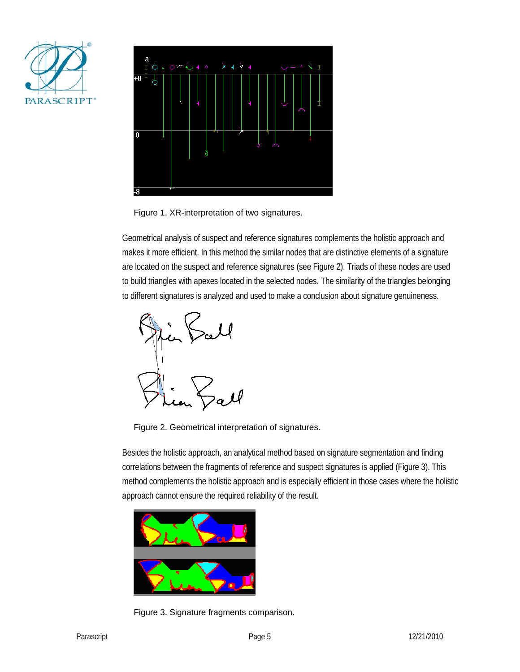



Figure 1. XR-interpretation of two signatures.

Geometrical analysis of suspect and reference signatures complements the holistic approach and makes it more efficient. In this method the similar nodes that are distinctive elements of a signature are located on the suspect and reference signatures (see Figure 2). Triads of these nodes are used to build triangles with apexes located in the selected nodes. The similarity of the triangles belonging to different signatures is analyzed and used to make a conclusion about signature genuineness.



Figure 2. Geometrical interpretation of signatures.

Besides the holistic approach, an analytical method based on signature segmentation and finding correlations between the fragments of reference and suspect signatures is applied (Figure 3). This method complements the holistic approach and is especially efficient in those cases where the holistic approach cannot ensure the required reliability of the result.



Figure 3. Signature fragments comparison.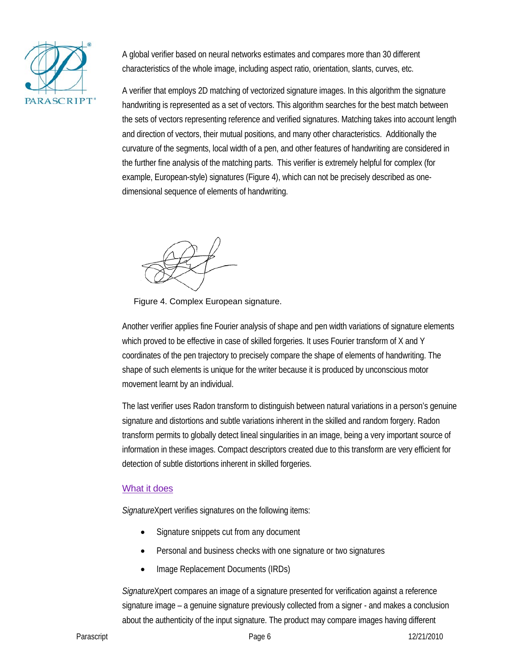

A global verifier based on neural networks estimates and compares more than 30 different characteristics of the whole image, including aspect ratio, orientation, slants, curves, etc.

A verifier that employs 2D matching of vectorized signature images. In this algorithm the signature handwriting is represented as a set of vectors. This algorithm searches for the best match between the sets of vectors representing reference and verified signatures. Matching takes into account length and direction of vectors, their mutual positions, and many other characteristics. Additionally the curvature of the segments, local width of a pen, and other features of handwriting are considered in the further fine analysis of the matching parts. This verifier is extremely helpful for complex (for example, European-style) signatures (Figure 4), which can not be precisely described as onedimensional sequence of elements of handwriting.



Figure 4. Complex European signature.

Another verifier applies fine Fourier analysis of shape and pen width variations of signature elements which proved to be effective in case of skilled forgeries. It uses Fourier transform of X and Y coordinates of the pen trajectory to precisely compare the shape of elements of handwriting. The shape of such elements is unique for the writer because it is produced by unconscious motor movement learnt by an individual.

The last verifier uses Radon transform to distinguish between natural variations in a person's genuine signature and distortions and subtle variations inherent in the skilled and random forgery. Radon transform permits to globally detect lineal singularities in an image, being a very important source of information in these images. Compact descriptors created due to this transform are very efficient for detection of subtle distortions inherent in skilled forgeries.

### What it does

*Signature*Xpert verifies signatures on the following items:

- Signature snippets cut from any document
- Personal and business checks with one signature or two signatures
- Image Replacement Documents (IRDs)

*Signature*Xpert compares an image of a signature presented for verification against a reference signature image – a genuine signature previously collected from a signer - and makes a conclusion about the authenticity of the input signature. The product may compare images having different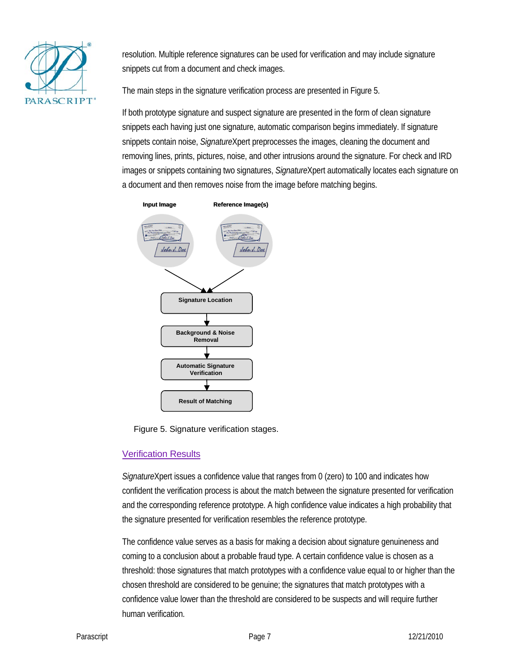

resolution. Multiple reference signatures can be used for verification and may include signature snippets cut from a document and check images.

The main steps in the signature verification process are presented in Figure 5.

If both prototype signature and suspect signature are presented in the form of clean signature snippets each having just one signature, automatic comparison begins immediately. If signature snippets contain noise, *Signature*Xpert preprocesses the images, cleaning the document and removing lines, prints, pictures, noise, and other intrusions around the signature. For check and IRD images or snippets containing two signatures, *Signature*Xpert automatically locates each signature on a document and then removes noise from the image before matching begins.



Figure 5. Signature verification stages.

### Verification Results

*Signature*Xpert issues a confidence value that ranges from 0 (zero) to 100 and indicates how confident the verification process is about the match between the signature presented for verification and the corresponding reference prototype. A high confidence value indicates a high probability that the signature presented for verification resembles the reference prototype.

The confidence value serves as a basis for making a decision about signature genuineness and coming to a conclusion about a probable fraud type. A certain confidence value is chosen as a threshold: those signatures that match prototypes with a confidence value equal to or higher than the chosen threshold are considered to be genuine; the signatures that match prototypes with a confidence value lower than the threshold are considered to be suspects and will require further human verification.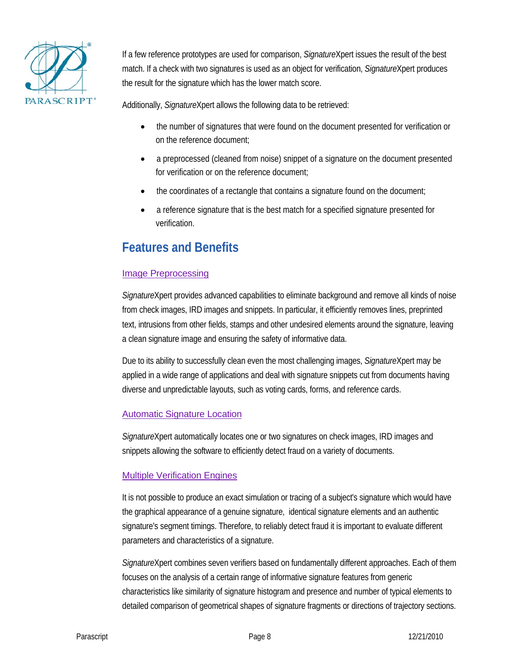

If a few reference prototypes are used for comparison, *Signature*Xpert issues the result of the best match. If a check with two signatures is used as an object for verification, *Signature*Xpert produces the result for the signature which has the lower match score.

Additionally, *Signature*Xpert allows the following data to be retrieved:

- the number of signatures that were found on the document presented for verification or on the reference document;
- a preprocessed (cleaned from noise) snippet of a signature on the document presented for verification or on the reference document;
- the coordinates of a rectangle that contains a signature found on the document;
- a reference signature that is the best match for a specified signature presented for verification.

# **Features and Benefits**

### Image Preprocessing

*Signature*Xpert provides advanced capabilities to eliminate background and remove all kinds of noise from check images, IRD images and snippets. In particular, it efficiently removes lines, preprinted text, intrusions from other fields, stamps and other undesired elements around the signature, leaving a clean signature image and ensuring the safety of informative data.

Due to its ability to successfully clean even the most challenging images, *Signature*Xpert may be applied in a wide range of applications and deal with signature snippets cut from documents having diverse and unpredictable layouts, such as voting cards, forms, and reference cards.

### Automatic Signature Location

*Signature*Xpert automatically locates one or two signatures on check images, IRD images and snippets allowing the software to efficiently detect fraud on a variety of documents.

### **Multiple Verification Engines**

It is not possible to produce an exact simulation or tracing of a subject's signature which would have the graphical appearance of a genuine signature, identical signature elements and an authentic signature's segment timings. Therefore, to reliably detect fraud it is important to evaluate different parameters and characteristics of a signature.

*Signature*Xpert combines seven verifiers based on fundamentally different approaches. Each of them focuses on the analysis of a certain range of informative signature features from generic characteristics like similarity of signature histogram and presence and number of typical elements to detailed comparison of geometrical shapes of signature fragments or directions of trajectory sections.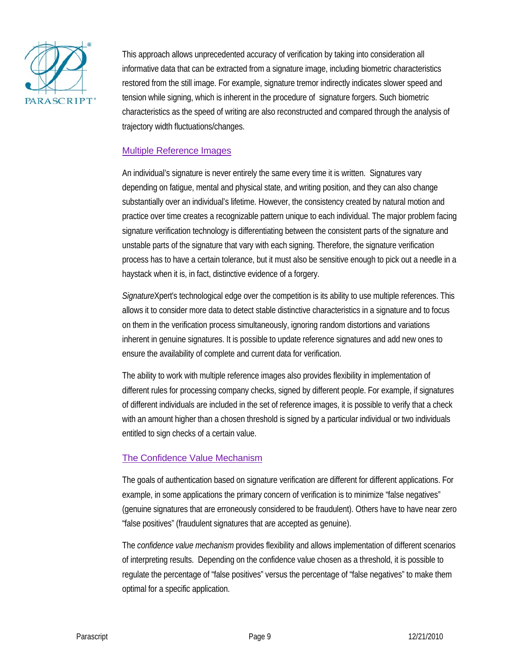

This approach allows unprecedented accuracy of verification by taking into consideration all informative data that can be extracted from a signature image, including biometric characteristics restored from the still image. For example, signature tremor indirectly indicates slower speed and tension while signing, which is inherent in the procedure of signature forgers. Such biometric characteristics as the speed of writing are also reconstructed and compared through the analysis of trajectory width fluctuations/changes.

#### Multiple Reference Images

An individual's signature is never entirely the same every time it is written. Signatures vary depending on fatigue, mental and physical state, and writing position, and they can also change substantially over an individual's lifetime. However, the consistency created by natural motion and practice over time creates a recognizable pattern unique to each individual. The major problem facing signature verification technology is differentiating between the consistent parts of the signature and unstable parts of the signature that vary with each signing. Therefore, the signature verification process has to have a certain tolerance, but it must also be sensitive enough to pick out a needle in a haystack when it is, in fact, distinctive evidence of a forgery.

*Signature*Xpert's technological edge over the competition is its ability to use multiple references. This allows it to consider more data to detect stable distinctive characteristics in a signature and to focus on them in the verification process simultaneously, ignoring random distortions and variations inherent in genuine signatures. It is possible to update reference signatures and add new ones to ensure the availability of complete and current data for verification.

The ability to work with multiple reference images also provides flexibility in implementation of different rules for processing company checks, signed by different people. For example, if signatures of different individuals are included in the set of reference images, it is possible to verify that a check with an amount higher than a chosen threshold is signed by a particular individual or two individuals entitled to sign checks of a certain value.

#### The Confidence Value Mechanism

The goals of authentication based on signature verification are different for different applications. For example, in some applications the primary concern of verification is to minimize "false negatives" (genuine signatures that are erroneously considered to be fraudulent). Others have to have near zero "false positives" (fraudulent signatures that are accepted as genuine).

The *confidence value mechanism* provides flexibility and allows implementation of different scenarios of interpreting results. Depending on the confidence value chosen as a threshold, it is possible to regulate the percentage of "false positives" versus the percentage of "false negatives" to make them optimal for a specific application.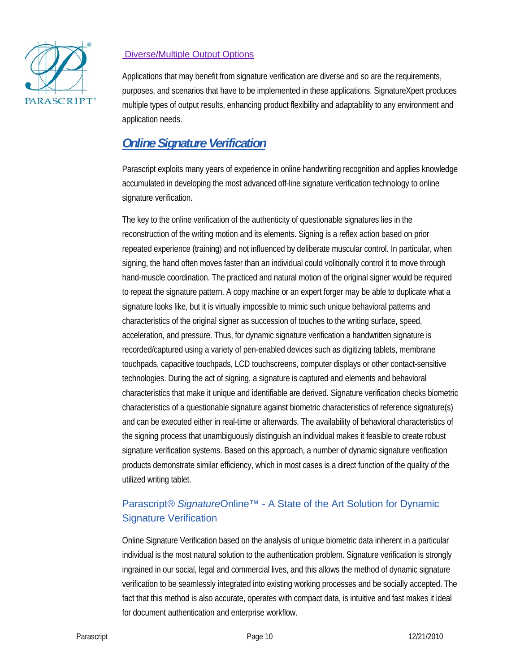

### Diverse/Multiple Output Options

Applications that may benefit from signature verification are diverse and so are the requirements, purposes, and scenarios that have to be implemented in these applications. SignatureXpert produces multiple types of output results, enhancing product flexibility and adaptability to any environment and application needs.

# *Online Signature Verification*

Parascript exploits many years of experience in online handwriting recognition and applies knowledge accumulated in developing the most advanced off-line signature verification technology to online signature verification.

The key to the online verification of the authenticity of questionable signatures lies in the reconstruction of the writing motion and its elements. Signing is a reflex action based on prior repeated experience (training) and not influenced by deliberate muscular control. In particular, when signing, the hand often moves faster than an individual could volitionally control it to move through hand-muscle coordination. The practiced and natural motion of the original signer would be required to repeat the signature pattern. A copy machine or an expert forger may be able to duplicate what a signature looks like, but it is virtually impossible to mimic such unique behavioral patterns and characteristics of the original signer as succession of touches to the writing surface, speed, acceleration, and pressure. Thus, for dynamic signature verification a handwritten signature is recorded/captured using a variety of pen-enabled devices such as digitizing tablets, membrane touchpads, capacitive touchpads, LCD touchscreens, computer displays or other contact-sensitive technologies. During the act of signing, a signature is captured and elements and behavioral characteristics that make it unique and identifiable are derived. Signature verification checks biometric characteristics of a questionable signature against biometric characteristics of reference signature(s) and can be executed either in real-time or afterwards. The availability of behavioral characteristics of the signing process that unambiguously distinguish an individual makes it feasible to create robust signature verification systems. Based on this approach, a number of dynamic signature verification products demonstrate similar efficiency, which in most cases is a direct function of the quality of the utilized writing tablet.

### Parascript*® Signature*Online™ - A State of the Art Solution for Dynamic Signature Verification

Online Signature Verification based on the analysis of unique biometric data inherent in a particular individual is the most natural solution to the authentication problem. Signature verification is strongly ingrained in our social, legal and commercial lives, and this allows the method of dynamic signature verification to be seamlessly integrated into existing working processes and be socially accepted. The fact that this method is also accurate, operates with compact data, is intuitive and fast makes it ideal for document authentication and enterprise workflow.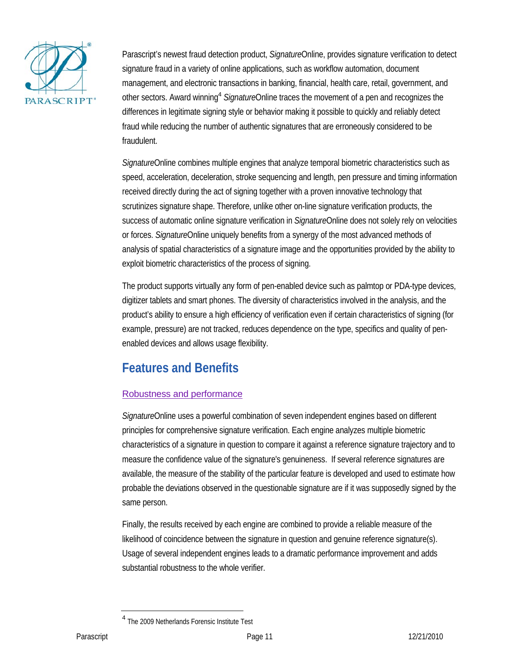

Parascript's newest fraud detection product, *Signature*Online, provides signature verification to detect signature fraud in a variety of online applications, such as workflow automation, document management, and electronic transactions in banking, financial, health care, retail, government, and other sectors. Award winning<sup>4</sup> SignatureOnline traces the movement of a pen and recognizes the differences in legitimate signing style or behavior making it possible to quickly and reliably detect fraud while reducing the number of authentic signatures that are erroneously considered to be fraudulent.

*Signature*Online combines multiple engines that analyze temporal biometric characteristics such as speed, acceleration, deceleration, stroke sequencing and length, pen pressure and timing information received directly during the act of signing together with a proven innovative technology that scrutinizes signature shape. Therefore, unlike other on-line signature verification products, the success of automatic online signature verification in *Signature*Online does not solely rely on velocities or forces. *Signature*Online uniquely benefits from a synergy of the most advanced methods of analysis of spatial characteristics of a signature image and the opportunities provided by the ability to exploit biometric characteristics of the process of signing.

The product supports virtually any form of pen-enabled device such as palmtop or PDA-type devices, digitizer tablets and smart phones. The diversity of characteristics involved in the analysis, and the product's ability to ensure a high efficiency of verification even if certain characteristics of signing (for example, pressure) are not tracked, reduces dependence on the type, specifics and quality of penenabled devices and allows usage flexibility.

# **Features and Benefits**

### Robustness and performance

*Signature*Online uses a powerful combination of seven independent engines based on different principles for comprehensive signature verification. Each engine analyzes multiple biometric characteristics of a signature in question to compare it against a reference signature trajectory and to measure the confidence value of the signature's genuineness. If several reference signatures are available, the measure of the stability of the particular feature is developed and used to estimate how probable the deviations observed in the questionable signature are if it was supposedly signed by the same person.

Finally, the results received by each engine are combined to provide a reliable measure of the likelihood of coincidence between the signature in question and genuine reference signature(s). Usage of several independent engines leads to a dramatic performance improvement and adds substantial robustness to the whole verifier.

<sup>4</sup> The 2009 Netherlands Forensic Institute Test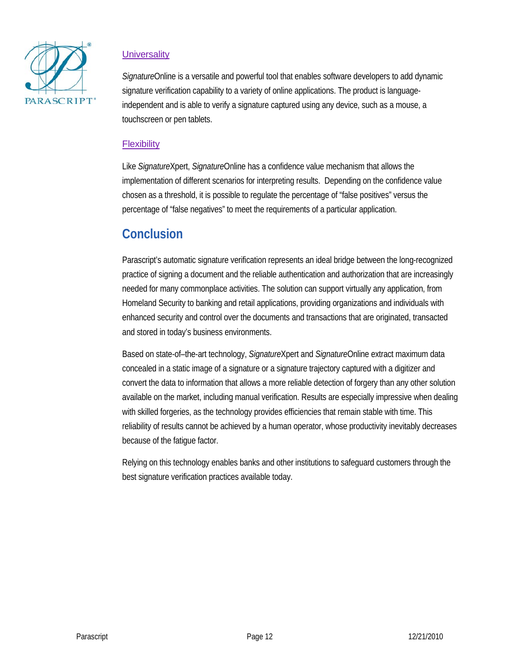

### **Universality**

*Signature*Online is a versatile and powerful tool that enables software developers to add dynamic signature verification capability to a variety of online applications. The product is languageindependent and is able to verify a signature captured using any device, such as a mouse, a touchscreen or pen tablets.

#### **Flexibility**

Like *Signature*Xpert, *Signature*Online has a confidence value mechanism that allows the implementation of different scenarios for interpreting results. Depending on the confidence value chosen as a threshold, it is possible to regulate the percentage of "false positives" versus the percentage of "false negatives" to meet the requirements of a particular application.

# **Conclusion**

Parascript's automatic signature verification represents an ideal bridge between the long-recognized practice of signing a document and the reliable authentication and authorization that are increasingly needed for many commonplace activities. The solution can support virtually any application, from Homeland Security to banking and retail applications, providing organizations and individuals with enhanced security and control over the documents and transactions that are originated, transacted and stored in today's business environments.

Based on state-of–the-art technology, *Signature*Xpert and *Signature*Online extract maximum data concealed in a static image of a signature or a signature trajectory captured with a digitizer and convert the data to information that allows a more reliable detection of forgery than any other solution available on the market, including manual verification. Results are especially impressive when dealing with skilled forgeries, as the technology provides efficiencies that remain stable with time. This reliability of results cannot be achieved by a human operator, whose productivity inevitably decreases because of the fatigue factor.

Relying on this technology enables banks and other institutions to safeguard customers through the best signature verification practices available today.